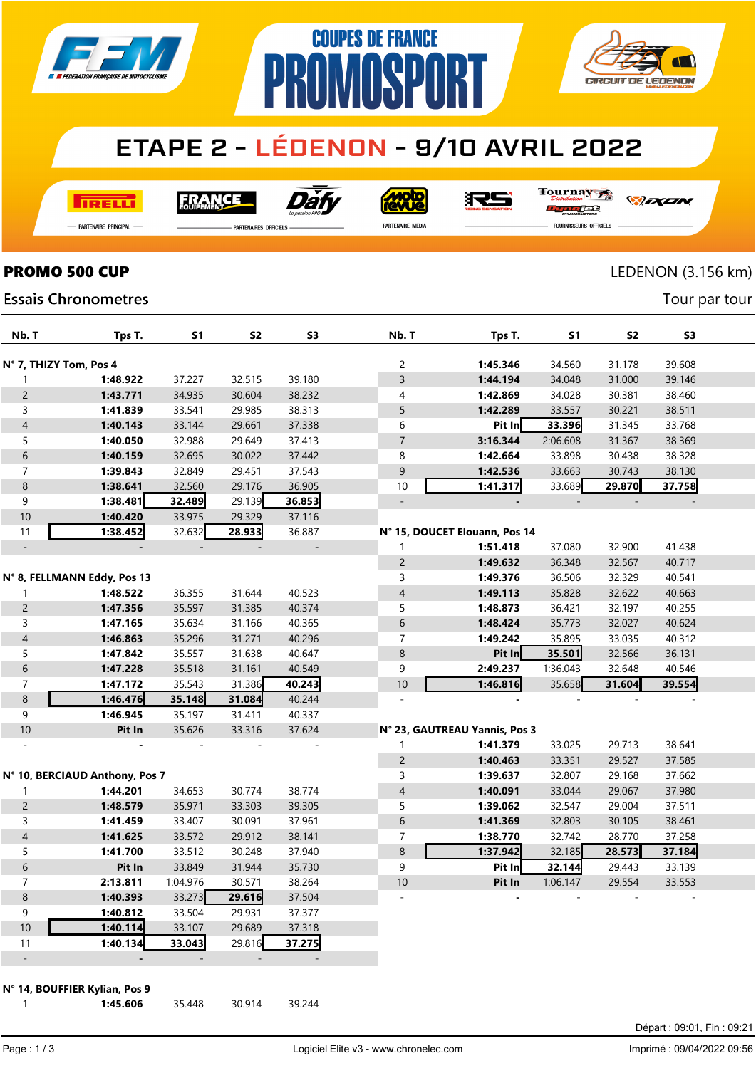

# **ETAPE 2 - LÉDENON - 9/10 AVRIL 2022**

**COUPES DE FRANCE** 

**MNSP** 

**TRELLI** 

**FRANCE** 

Dái

**MOLO**<br>AVLIG

沢ら

Tournay ra

*DEXEN* 

**CIRCUIT DE LEDENON** 

- Partenaire Principal

**Essais Chronometres** 

**PARTENAIRES OFFICIELS** 

PR

PARTENAIRE MEDIA

**FOURNISSEURS OFFICIELS** 

## **PROMO 500 CUP** LEDENON (3.156 km)

Tour par tour

| Nb. T                    | Tps T.                         | S <sub>1</sub> | S <sub>2</sub> | S <sub>3</sub> | Nb. T                    | Tps T.                        | S1       | <b>S2</b> | S3     |  |  |
|--------------------------|--------------------------------|----------------|----------------|----------------|--------------------------|-------------------------------|----------|-----------|--------|--|--|
| N° 7, THIZY Tom, Pos 4   |                                |                |                |                | $\overline{c}$           | 1:45.346                      | 34.560   | 31.178    | 39.608 |  |  |
| $\mathbf{1}$             | 1:48.922                       | 37.227         | 32.515         | 39.180         | 3                        | 1:44.194                      | 34.048   | 31.000    | 39.146 |  |  |
| $\mathsf{2}\,$           | 1:43.771                       | 34.935         | 30.604         | 38.232         | 4                        | 1:42.869                      | 34.028   | 30.381    | 38.460 |  |  |
| 3                        | 1:41.839                       | 33.541         | 29.985         | 38.313         | 5                        | 1:42.289                      | 33.557   | 30.221    | 38.511 |  |  |
| $\overline{\mathcal{A}}$ | 1:40.143                       | 33.144         | 29.661         | 37.338         | 6                        | Pit In                        | 33.396   | 31.345    | 33.768 |  |  |
| 5                        | 1:40.050                       | 32.988         | 29.649         | 37.413         | $\overline{7}$           | 3:16.344                      | 2:06.608 | 31.367    | 38.369 |  |  |
| $\,$ 6 $\,$              | 1:40.159                       | 32.695         | 30.022         | 37.442         | 8                        | 1:42.664                      | 33.898   | 30.438    | 38.328 |  |  |
| 7                        | 1:39.843                       | 32.849         | 29.451         | 37.543         | 9                        | 1:42.536                      | 33.663   | 30.743    | 38.130 |  |  |
| $\, 8$                   | 1:38.641                       | 32.560         | 29.176         | 36.905         | 10                       | 1:41.317                      | 33.689   | 29.870    | 37.758 |  |  |
| 9                        | 1:38.481                       | 32.489         | 29.139         | 36.853         | $\overline{\phantom{a}}$ |                               |          |           |        |  |  |
| 10                       | 1:40.420                       | 33.975         | 29.329         | 37.116         |                          |                               |          |           |        |  |  |
| 11                       | 1:38.452                       | 32.632         | 28.933         | 36.887         |                          | N° 15, DOUCET Elouann, Pos 14 |          |           |        |  |  |
| $\overline{\phantom{a}}$ |                                |                |                |                | 1                        | 1:51.418                      | 37.080   | 32.900    | 41.438 |  |  |
|                          |                                |                |                |                | $\overline{c}$           | 1:49.632                      | 36.348   | 32.567    | 40.717 |  |  |
|                          | N° 8, FELLMANN Eddy, Pos 13    |                |                |                | 3                        | 1:49.376                      | 36.506   | 32.329    | 40.541 |  |  |
| 1                        | 1:48.522                       | 36.355         | 31.644         | 40.523         | $\overline{\mathcal{A}}$ | 1:49.113                      | 35.828   | 32.622    | 40.663 |  |  |
| $\mathsf{2}\,$           | 1:47.356                       | 35.597         | 31.385         | 40.374         | 5                        | 1:48.873                      | 36.421   | 32.197    | 40.255 |  |  |
| 3                        | 1:47.165                       | 35.634         | 31.166         | 40.365         | 6                        | 1:48.424                      | 35.773   | 32.027    | 40.624 |  |  |
| $\overline{\mathcal{A}}$ | 1:46.863                       | 35.296         | 31.271         | 40.296         | 7                        | 1:49.242                      | 35.895   | 33.035    | 40.312 |  |  |
| 5                        | 1:47.842                       | 35.557         | 31.638         | 40.647         | $\bf 8$                  | Pit In                        | 35.501   | 32.566    | 36.131 |  |  |
| 6                        | 1:47.228                       | 35.518         | 31.161         | 40.549         | 9                        | 2:49.237                      | 1:36.043 | 32.648    | 40.546 |  |  |
| $\overline{7}$           | 1:47.172                       | 35.543         | 31.386         | 40.243         | 10                       | 1:46.816                      | 35.658   | 31.604    | 39.554 |  |  |
| $\,8\,$                  | 1:46.476                       | 35.148         | 31.084         | 40.244         |                          |                               |          |           |        |  |  |
| 9                        | 1:46.945                       | 35.197         | 31.411         | 40.337         |                          |                               |          |           |        |  |  |
| 10                       | Pit In                         | 35.626         | 33.316         | 37.624         |                          | N° 23, GAUTREAU Yannis, Pos 3 |          |           |        |  |  |
|                          |                                |                |                |                | 1                        | 1:41.379                      | 33.025   | 29.713    | 38.641 |  |  |
|                          |                                |                |                |                | $\overline{c}$           | 1:40.463                      | 33.351   | 29.527    | 37.585 |  |  |
|                          | N° 10, BERCIAUD Anthony, Pos 7 |                |                |                | 3                        | 1:39.637                      | 32.807   | 29.168    | 37.662 |  |  |
| 1                        | 1:44.201                       | 34.653         | 30.774         | 38.774         | $\overline{\mathcal{A}}$ | 1:40.091                      | 33.044   | 29.067    | 37.980 |  |  |
| $\mathsf{2}\,$           | 1:48.579                       | 35.971         | 33.303         | 39.305         | 5                        | 1:39.062                      | 32.547   | 29.004    | 37.511 |  |  |
| 3                        | 1:41.459                       | 33.407         | 30.091         | 37.961         | 6                        | 1:41.369                      | 32.803   | 30.105    | 38.461 |  |  |
| $\overline{4}$           | 1:41.625                       | 33.572         | 29.912         | 38.141         | $\overline{7}$           | 1:38.770                      | 32.742   | 28.770    | 37.258 |  |  |
| 5                        | 1:41.700                       | 33.512         | 30.248         | 37.940         | 8                        | 1:37.942                      | 32.185   | 28.573    | 37.184 |  |  |
| 6                        | Pit In                         | 33.849         | 31.944         | 35.730         | 9                        | Pit In                        | 32.144   | 29.443    | 33.139 |  |  |
| $\boldsymbol{7}$         | 2:13.811                       | 1:04.976       | 30.571         | 38.264         | $10$                     | Pit In                        | 1:06.147 | 29.554    | 33.553 |  |  |
| 8                        | 1:40.393                       | 33.273         | 29.616         | 37.504         |                          |                               |          |           |        |  |  |
| 9                        | 1:40.812                       | 33.504         | 29.931         | 37.377         |                          |                               |          |           |        |  |  |
| 10                       | 1:40.114                       | 33.107         | 29.689         | 37.318         |                          |                               |          |           |        |  |  |
| 11                       | 1:40.134                       | 33.043         | 29.816         | 37.275         |                          |                               |          |           |        |  |  |
|                          |                                |                |                |                |                          |                               |          |           |        |  |  |
|                          | N° 14, BOUFFIER Kylian, Pos 9  |                |                |                |                          |                               |          |           |        |  |  |

1:45.606 35.448 30.914 39.244

Page : 1 / 3

Départ : 09:01, Fin : 09:21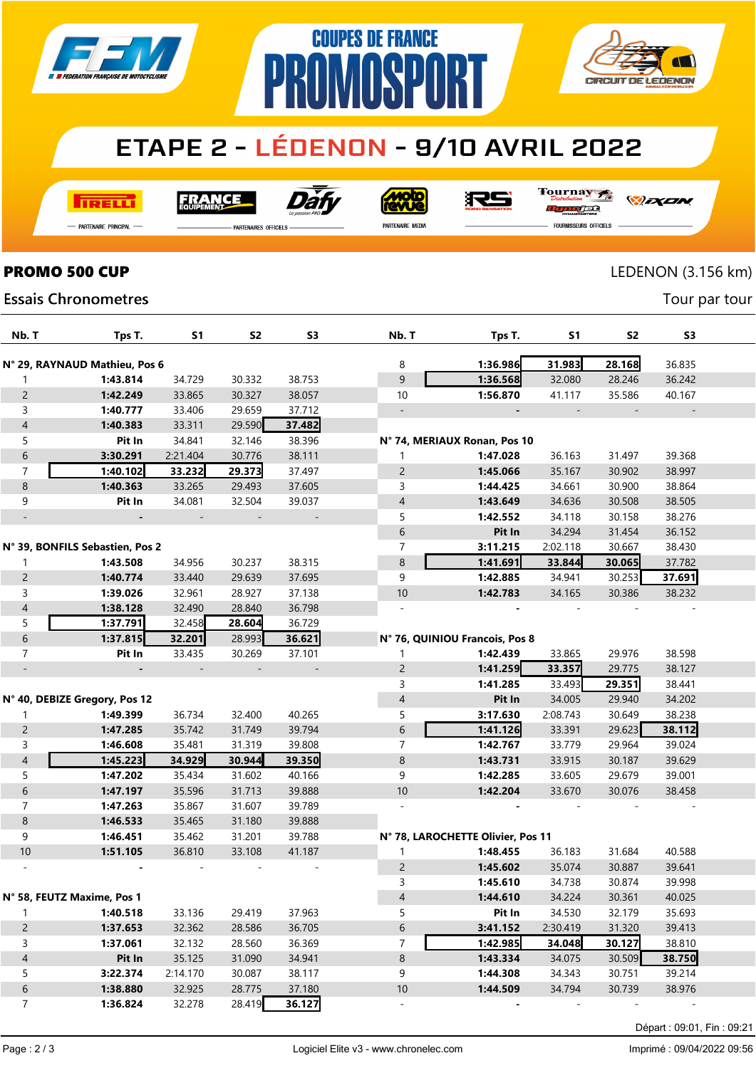





# **ETAPE 2 - LÉDENON - 9/10 AVRIL 2022**

**I तत्वच**र्च

**FRANCE** 



**Moto** 

Tournay

- Partenaire Principal

**PARTENAIRES OFFICIELS** 

PARTENAIRE MEDIA

沢ら

*DEXEN* 

**Essais Chronometres** 

rac FOURNISSEURS OFFICIELS

# **PROMO 500 CUP** LEDENON (3.156 km)

Tour par tour

| Nb. T                    | Tps T.                          | S1       | S2     | <b>S3</b>                | Nb. T                    | Tps T.                            | S1       | S2            | S <sub>3</sub> |  |
|--------------------------|---------------------------------|----------|--------|--------------------------|--------------------------|-----------------------------------|----------|---------------|----------------|--|
|                          |                                 |          |        |                          |                          |                                   |          |               |                |  |
|                          | N° 29, RAYNAUD Mathieu, Pos 6   |          |        |                          | 8                        | 1:36.986                          | 31.983   | 28.168        | 36.835         |  |
| 1                        | 1:43.814                        | 34.729   | 30.332 | 38.753                   | 9                        | 1:36.568                          | 32.080   | 28.246        | 36.242         |  |
| $\overline{2}$           | 1:42.249                        | 33.865   | 30.327 | 38.057                   | 10                       | 1:56.870                          | 41.117   | 35.586        | 40.167         |  |
| 3                        | 1:40.777                        | 33.406   | 29.659 | 37.712                   |                          |                                   |          |               |                |  |
| $\overline{\mathcal{A}}$ | 1:40.383                        | 33.311   | 29.590 | 37.482                   |                          |                                   |          |               |                |  |
| 5                        | Pit In                          | 34.841   | 32.146 | 38.396                   |                          | N° 74, MERIAUX Ronan, Pos 10      |          |               |                |  |
| 6                        | 3:30.291                        | 2:21.404 | 30.776 | 38.111                   | 1                        | 1:47.028                          | 36.163   | 31.497        | 39.368         |  |
| $\overline{7}$           | 1:40.102                        | 33.232   | 29.373 | 37.497                   | 2                        | 1:45.066                          | 35.167   | 30.902        | 38.997         |  |
| 8                        | 1:40.363                        | 33.265   | 29.493 | 37.605                   | 3                        | 1:44.425                          | 34.661   | 30.900        | 38.864         |  |
| 9                        | Pit In                          | 34.081   | 32.504 | 39.037                   | $\overline{4}$           | 1:43.649                          | 34.636   | 30.508        | 38.505         |  |
|                          |                                 |          |        |                          | 5                        | 1:42.552                          | 34.118   | 30.158        | 38.276         |  |
|                          |                                 |          |        |                          | 6                        | Pit In                            | 34.294   | 31.454        | 36.152         |  |
|                          | N° 39, BONFILS Sebastien, Pos 2 |          |        |                          | $\overline{7}$           | 3:11.215                          | 2:02.118 | 30.667        | 38.430         |  |
| 1                        | 1:43.508                        | 34.956   | 30.237 | 38.315                   | 8                        | 1:41.691                          | 33.844   | 30.065        | 37.782         |  |
| $\overline{2}$           | 1:40.774                        | 33.440   | 29.639 | 37.695                   | 9                        | 1:42.885                          | 34.941   | 30.253        | 37.691         |  |
| 3                        | 1:39.026                        | 32.961   | 28.927 | 37.138                   | 10                       | 1:42.783                          | 34.165   | 30.386        | 38.232         |  |
| 4                        | 1:38.128                        | 32.490   | 28.840 | 36.798                   |                          |                                   |          |               |                |  |
| 5                        | 1:37.791                        | 32.458   | 28.604 | 36.729                   |                          |                                   |          |               |                |  |
| $\sqrt{6}$               | 1:37.815                        | 32.201   | 28.993 | 36.621                   |                          | N° 76, QUINIOU Francois, Pos 8    |          |               |                |  |
| $\overline{7}$           | Pit In                          | 33.435   | 30.269 | 37.101                   | 1                        | 1:42.439                          | 33.865   | 29.976        | 38.598         |  |
|                          |                                 |          |        | $\overline{\phantom{a}}$ | $\overline{2}$           | 1:41.259                          | 33.357   | 29.775        | 38.127         |  |
|                          |                                 |          |        |                          | 3                        | 1:41.285                          | 33.493   | 29.351        | 38.441         |  |
|                          | N° 40, DEBIZE Gregory, Pos 12   |          |        |                          | $\overline{4}$           | Pit In                            | 34.005   | 29.940        | 34.202         |  |
| $\mathbf{1}$             | 1:49.399                        | 36.734   | 32.400 | 40.265                   | 5                        | 3:17.630                          | 2:08.743 | 30.649        | 38.238         |  |
| $\overline{c}$           | 1:47.285                        | 35.742   | 31.749 | 39.794                   | 6                        | 1:41.126                          | 33.391   | 29.623        | 38.112         |  |
| 3                        | 1:46.608                        | 35.481   | 31.319 | 39.808                   | $\overline{7}$           | 1:42.767                          | 33.779   | 29.964        | 39.024         |  |
| $\overline{4}$           | 1:45.223                        | 34.929   | 30.944 | 39.350                   | 8                        | 1:43.731                          | 33.915   | 30.187        | 39.629         |  |
| 5                        | 1:47.202                        | 35.434   | 31.602 | 40.166                   | 9                        | 1:42.285                          | 33.605   | 29.679        | 39.001         |  |
| $\sqrt{6}$               | 1:47.197                        | 35.596   | 31.713 | 39.888                   | 10                       | 1:42.204                          | 33.670   | 30.076        | 38.458         |  |
| 7                        | 1:47.263                        | 35.867   | 31.607 | 39.789                   |                          |                                   |          |               |                |  |
| 8                        | 1:46.533                        | 35.465   | 31.180 | 39.888                   |                          |                                   |          |               |                |  |
| 9                        | 1:46.451                        | 35.462   | 31.201 | 39.788                   |                          | N° 78, LAROCHETTE Olivier, Pos 11 |          |               |                |  |
| 10                       | 1:51.105                        | 36.810   | 33.108 | 41.187                   | $\mathbf{1}$             | 1:48.455                          | 36.183   | 31.684        | 40.588         |  |
|                          |                                 |          |        |                          | 2                        | 1:45.602                          | 35.074   | 30.887        | 39.641         |  |
|                          |                                 |          |        |                          | 3                        | 1:45.610                          | 34.738   | 30.874        | 39.998         |  |
|                          | N° 58, FEUTZ Maxime, Pos 1      |          |        |                          | 4                        | 1:44.610                          | 34.224   | 30.361        | 40.025         |  |
| 1.                       | 1:40.518                        | 33.136   | 29.419 | 37.963                   | 5                        | Pit In                            | 34.530   | 32.179        | 35.693         |  |
| $\overline{c}$           | 1:37.653                        | 32.362   | 28.586 | 36.705                   | 6                        | 3:41.152                          | 2:30.419 | 31.320        | 39.413         |  |
| 3                        | 1:37.061                        | 32.132   | 28.560 | 36.369                   | 7                        | 1:42.985                          | 34.048   | 30.127        | 38.810         |  |
| $\overline{\mathcal{L}}$ | Pit In                          | 35.125   | 31.090 | 34.941                   | $\,8\,$                  | 1:43.334                          | 34.075   | 30.509        | 38.750         |  |
| 5                        | 3:22.374                        | 2:14.170 | 30.087 | 38.117                   | 9                        | 1:44.308                          | 34.343   | 30.751        | 39.214         |  |
| 6                        | 1:38.880                        | 32.925   | 28.775 | 37.180                   | $10$                     | 1:44.509                          | 34.794   | 30.739        | 38.976         |  |
| $\overline{7}$           | 1:36.824                        | 32.278   | 28.419 | 36.127                   | $\overline{\phantom{a}}$ | $\overline{\phantom{a}}$          |          | $\frac{1}{2}$ |                |  |
|                          |                                 |          |        |                          |                          |                                   |          |               |                |  |